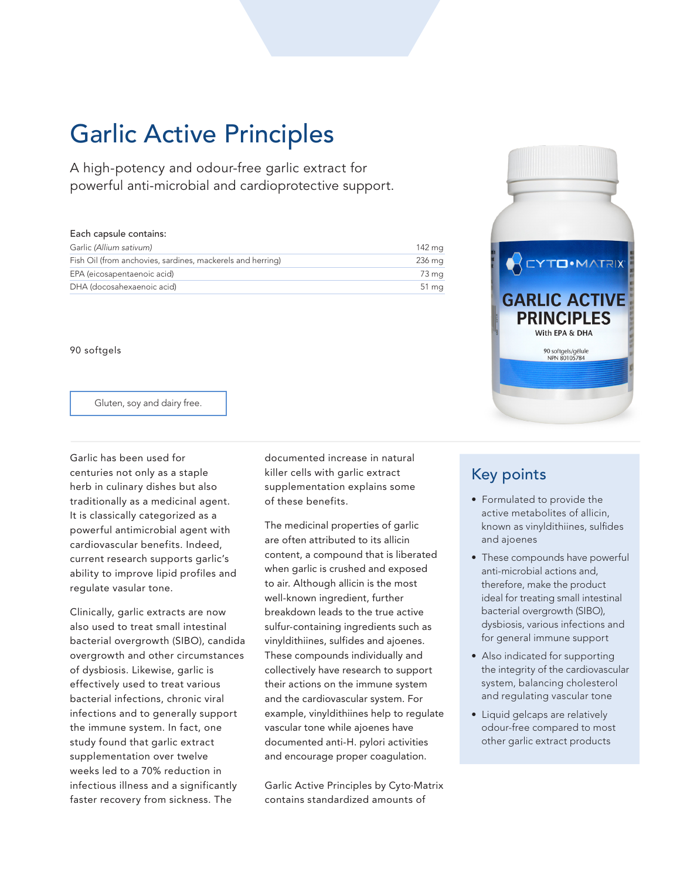## Garlic Active Principles

A high-potency and odour-free garlic extract for powerful anti-microbial and cardioprotective support.

#### Each capsule contains:

| Garlic (Allium sativum)                                    | 142 ma             |
|------------------------------------------------------------|--------------------|
| Fish Oil (from anchovies, sardines, mackerels and herring) | 236 mg             |
| EPA (eicosapentaenoic acid)                                | 73 mg              |
| DHA (docosahexaenoic acid)                                 | $51 \,\mathrm{mg}$ |

90 softgels

Gluten, soy and dairy free.

Garlic has been used for centuries not only as a staple herb in culinary dishes but also traditionally as a medicinal agent. It is classically categorized as a powerful antimicrobial agent with cardiovascular benefits. Indeed, current research supports garlic's ability to improve lipid profiles and regulate vasular tone.

Clinically, garlic extracts are now also used to treat small intestinal bacterial overgrowth (SIBO), candida overgrowth and other circumstances of dysbiosis. Likewise, garlic is effectively used to treat various bacterial infections, chronic viral infections and to generally support the immune system. In fact, one study found that garlic extract supplementation over twelve weeks led to a 70% reduction in infectious illness and a significantly faster recovery from sickness. The

documented increase in natural killer cells with garlic extract supplementation explains some of these benefits.

The medicinal properties of garlic are often attributed to its allicin content, a compound that is liberated when garlic is crushed and exposed to air. Although allicin is the most well-known ingredient, further breakdown leads to the true active sulfur-containing ingredients such as vinyldithiines, sulfides and ajoenes. These compounds individually and collectively have research to support their actions on the immune system and the cardiovascular system. For example, vinyldithiines help to regulate vascular tone while ajoenes have documented anti-H. pylori activities and encourage proper coagulation.

Garlic Active Principles by Cyto.Matrix contains standardized amounts of

# **ACYTO** MATRIX **GARLIC ACTIVE PRINCIPLES** With EPA & DHA 90 softgels/gélule<br>NPN 80105784

### Key points

- Formulated to provide the active metabolites of allicin, known as vinyldithiines, sulfides and ajoenes
- These compounds have powerful anti-microbial actions and, therefore, make the product ideal for treating small intestinal bacterial overgrowth (SIBO), dysbiosis, various infections and for general immune support
- Also indicated for supporting the integrity of the cardiovascular system, balancing cholesterol and regulating vascular tone
- Liquid gelcaps are relatively odour-free compared to most other garlic extract products